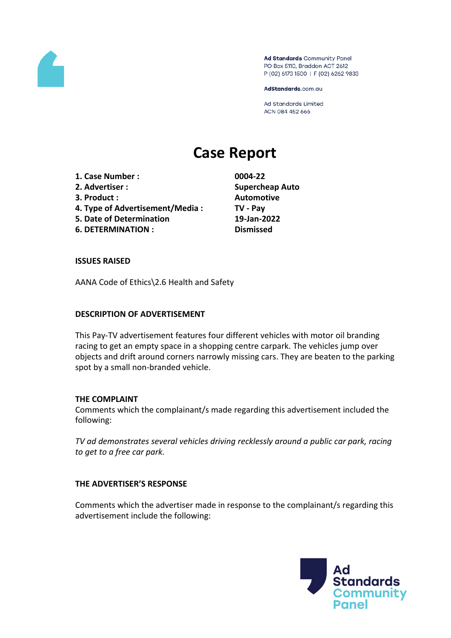

Ad Standards Community Panel PO Box 5110, Braddon ACT 2612 P (02) 6173 1500 | F (02) 6262 9833

AdStandards.com.au

Ad Standards Limited ACN 084 452 666

# **Case Report**

- **1. Case Number : 0004-22**
- 
- 
- **4. Type of Advertisement/Media : TV - Pay**
- **5. Date of Determination 19-Jan-2022**
- **6. DETERMINATION : Dismissed**

**2. Advertiser : Supercheap Auto 3. Product : Automotive**

## **ISSUES RAISED**

AANA Code of Ethics\2.6 Health and Safety

### **DESCRIPTION OF ADVERTISEMENT**

This Pay-TV advertisement features four different vehicles with motor oil branding racing to get an empty space in a shopping centre carpark. The vehicles jump over objects and drift around corners narrowly missing cars. They are beaten to the parking spot by a small non-branded vehicle.

## **THE COMPLAINT**

Comments which the complainant/s made regarding this advertisement included the following:

*TV ad demonstrates several vehicles driving recklessly around a public car park, racing to get to a free car park.*

## **THE ADVERTISER'S RESPONSE**

Comments which the advertiser made in response to the complainant/s regarding this advertisement include the following:

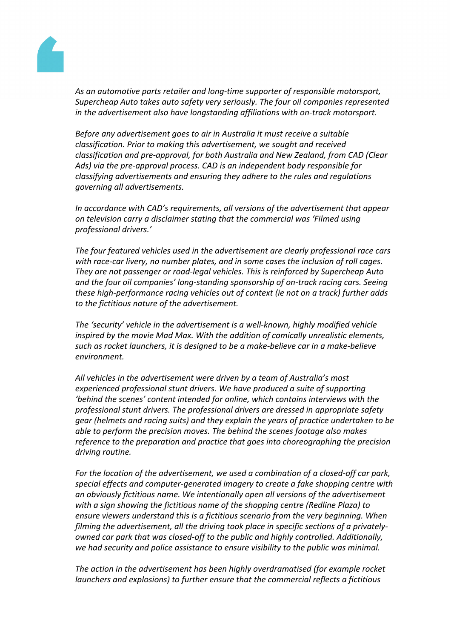

*As an automotive parts retailer and long-time supporter of responsible motorsport, Supercheap Auto takes auto safety very seriously. The four oil companies represented in the advertisement also have longstanding affiliations with on-track motorsport.*

*Before any advertisement goes to air in Australia it must receive a suitable classification. Prior to making this advertisement, we sought and received classification and pre-approval, for both Australia and New Zealand, from CAD (Clear Ads) via the pre-approval process. CAD is an independent body responsible for classifying advertisements and ensuring they adhere to the rules and regulations governing all advertisements.*

*In accordance with CAD's requirements, all versions of the advertisement that appear on television carry a disclaimer stating that the commercial was 'Filmed using professional drivers.'*

*The four featured vehicles used in the advertisement are clearly professional race cars with race-car livery, no number plates, and in some cases the inclusion of roll cages. They are not passenger or road-legal vehicles. This is reinforced by Supercheap Auto and the four oil companies' long-standing sponsorship of on-track racing cars. Seeing these high-performance racing vehicles out of context (ie not on a track) further adds to the fictitious nature of the advertisement.*

*The 'security' vehicle in the advertisement is a well-known, highly modified vehicle inspired by the movie Mad Max. With the addition of comically unrealistic elements, such as rocket launchers, it is designed to be a make-believe car in a make-believe environment.*

*All vehicles in the advertisement were driven by a team of Australia's most experienced professional stunt drivers. We have produced a suite of supporting 'behind the scenes' content intended for online, which contains interviews with the professional stunt drivers. The professional drivers are dressed in appropriate safety gear (helmets and racing suits) and they explain the years of practice undertaken to be able to perform the precision moves. The behind the scenes footage also makes reference to the preparation and practice that goes into choreographing the precision driving routine.*

*For the location of the advertisement, we used a combination of a closed-off car park, special effects and computer-generated imagery to create a fake shopping centre with an obviously fictitious name. We intentionally open all versions of the advertisement with a sign showing the fictitious name of the shopping centre (Redline Plaza) to ensure viewers understand this is a fictitious scenario from the very beginning. When filming the advertisement, all the driving took place in specific sections of a privatelyowned car park that was closed-off to the public and highly controlled. Additionally, we had security and police assistance to ensure visibility to the public was minimal.*

*The action in the advertisement has been highly overdramatised (for example rocket launchers and explosions) to further ensure that the commercial reflects a fictitious*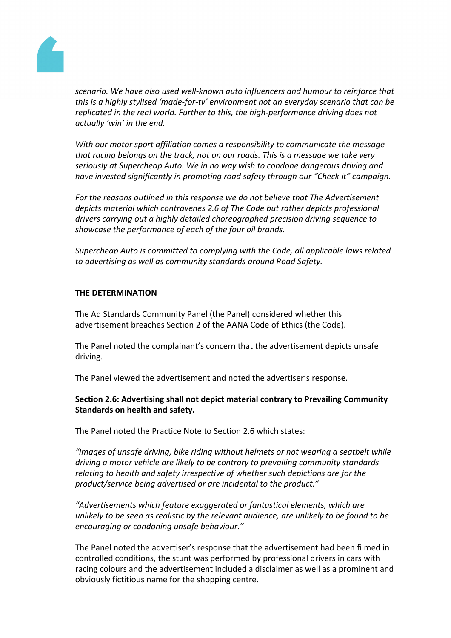

*scenario. We have also used well-known auto influencers and humour to reinforce that this is a highly stylised 'made-for-tv' environment not an everyday scenario that can be replicated in the real world. Further to this, the high-performance driving does not actually 'win' in the end.*

*With our motor sport affiliation comes a responsibility to communicate the message that racing belongs on the track, not on our roads. This is a message we take very seriously at Supercheap Auto. We in no way wish to condone dangerous driving and have invested significantly in promoting road safety through our "Check it" campaign.*

*For the reasons outlined in this response we do not believe that The Advertisement depicts material which contravenes 2.6 of The Code but rather depicts professional drivers carrying out a highly detailed choreographed precision driving sequence to showcase the performance of each of the four oil brands.*

*Supercheap Auto is committed to complying with the Code, all applicable laws related to advertising as well as community standards around Road Safety.*

#### **THE DETERMINATION**

The Ad Standards Community Panel (the Panel) considered whether this advertisement breaches Section 2 of the AANA Code of Ethics (the Code).

The Panel noted the complainant's concern that the advertisement depicts unsafe driving.

The Panel viewed the advertisement and noted the advertiser's response.

**Section 2.6: Advertising shall not depict material contrary to Prevailing Community Standards on health and safety.**

The Panel noted the Practice Note to Section 2.6 which states:

*"Images of unsafe driving, bike riding without helmets or not wearing a seatbelt while driving a motor vehicle are likely to be contrary to prevailing community standards relating to health and safety irrespective of whether such depictions are for the product/service being advertised or are incidental to the product."*

*"Advertisements which feature exaggerated or fantastical elements, which are unlikely to be seen as realistic by the relevant audience, are unlikely to be found to be encouraging or condoning unsafe behaviour."*

The Panel noted the advertiser's response that the advertisement had been filmed in controlled conditions, the stunt was performed by professional drivers in cars with racing colours and the advertisement included a disclaimer as well as a prominent and obviously fictitious name for the shopping centre.